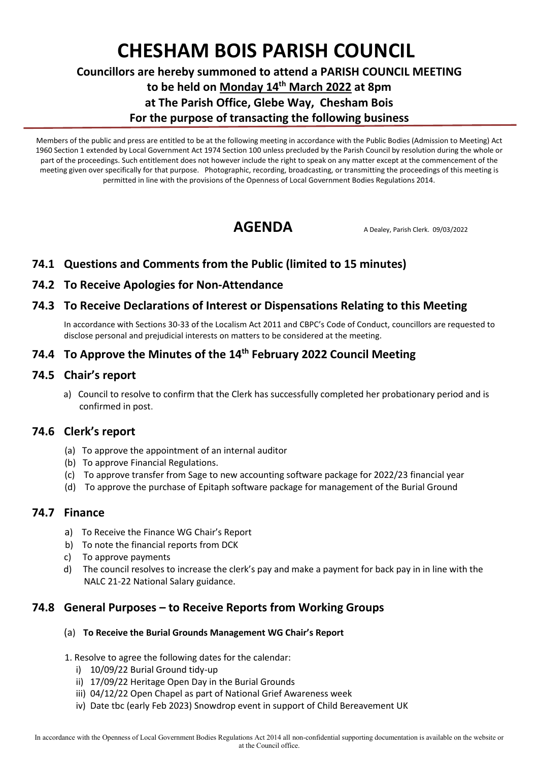# **CHESHAM BOIS PARISH COUNCIL**

# **Councillors are hereby summoned to attend a PARISH COUNCIL MEETING to be held on Monday 14 th March 2022 at 8pm at The Parish Office, Glebe Way, Chesham Bois For the purpose of transacting the following business**

Members of the public and press are entitled to be at the following meeting in accordance with the Public Bodies (Admission to Meeting) Act 1960 Section 1 extended by Local Government Act 1974 Section 100 unless precluded by the Parish Council by resolution during the whole or part of the proceedings. Such entitlement does not however include the right to speak on any matter except at the commencement of the meeting given over specifically for that purpose. Photographic, recording, broadcasting, or transmitting the proceedings of this meeting is permitted in line with the provisions of the Openness of Local Government Bodies Regulations 2014.

AGENDA A Dealey, Parish Clerk. 09/03/2022

# **74.1 Questions and Comments from the Public (limited to 15 minutes)**

#### **74.2 To Receive Apologies for Non-Attendance**

#### **74.3 To Receive Declarations of Interest or Dispensations Relating to this Meeting**

In accordance with Sections 30-33 of the Localism Act 2011 and CBPC's Code of Conduct, councillors are requested to disclose personal and prejudicial interests on matters to be considered at the meeting.

# **74.4 To Approve the Minutes of the 14 th February 2022 Council Meeting**

#### **74.5 Chair's report**

 a) Council to resolve to confirm that the Clerk has successfully completed her probationary period and is confirmed in post.

#### **74.6 Clerk's report**

- (a) To approve the appointment of an internal auditor
- (b) To approve Financial Regulations.
- (c) To approve transfer from Sage to new accounting software package for 2022/23 financial year
- (d) To approve the purchase of Epitaph software package for management of the Burial Ground

### **74.7 Finance**

- a) To Receive the Finance WG Chair's Report
- b) To note the financial reports from DCK
- c) To approve payments
- d) The council resolves to increase the clerk's pay and make a payment for back pay in in line with the NALC 21-22 National Salary guidance.

## **74.8 General Purposes – to Receive Reports from Working Groups**

#### (a) **To Receive the Burial Grounds Management WG Chair's Report**

#### 1. Resolve to agree the following dates for the calendar:

- i) 10/09/22 Burial Ground tidy-up
- ii) 17/09/22 Heritage Open Day in the Burial Grounds
- iii) 04/12/22 Open Chapel as part of National Grief Awareness week
- iv) Date tbc (early Feb 2023) Snowdrop event in support of Child Bereavement UK